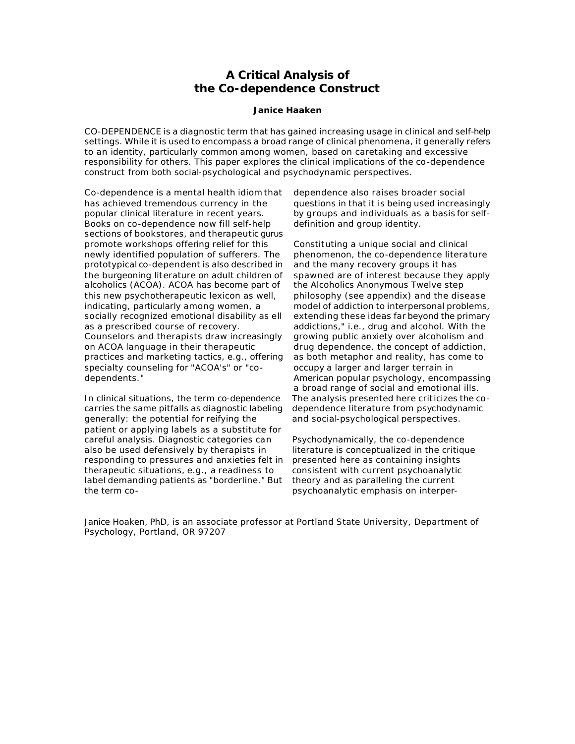# **A Critical Analysis of the Co-dependence Construct**

# **Janice Haaken**

CO-DEPENDENCE is a diagnostic term that has gained increasing usage in clinical and self-help settings. While it is used to encompass a broad range of clinical phenomena, it generally refers to an identity, particularly common among women, based on caretaking and excessive responsibility for others. This paper explores the clinical implications of the co-dependence construct from both social-psychological and psychodynamic perspectives.

Co-dependence is a mental health idiom that has achieved tremendous currency in the popular clinical literature in recent years. Books on co-dependence now fill self-help sections of bookstores, and therapeutic gurus promote workshops offering relief for this newly identified population of sufferers. The prototypical co-dependent is also described in the burgeoning literature on adult children of alcoholics (ACOA). ACOA has become part of this new psychotherapeutic lexicon as well, indicating, particularly among women, a socially recognized emotional disability as ell as a prescribed course of recovery. Counselors and therapists draw increasingly on ACOA language in their therapeutic practices and marketing tactics, e.g., offering specialty counseling for "ACOA's" or "codependents."

In clinical situations, the term *co-dependence* carries the same pitfalls as diagnostic labeling generally: the potential for reifying the patient or applying labels as a substitute for careful analysis. Diagnostic categories can also be used defensively by therapists in responding to pressures and anxieties felt in therapeutic situations, e.g., a readiness to label demanding patients as "borderline." But the term codependence also raises broader social questions in that it is being used increasingly by groups and individuals as a basis for selfdefinition and group identity.

Constituting a unique social and clinical phenomenon, the co-dependence literature and the many recovery groups it has spawned are of interest because they apply the Alcoholics Anonymous Twelve step philosophy (see appendix) and the disease model of addiction to interpersonal problems, extending these ideas far beyond the primary addictions," i.e., drug and alcohol. With the growing public anxiety over alcoholism and drug dependence, the concept of addiction, as both metaphor and reality, has come to occupy a larger and larger terrain in American popular psychology, encompassing a broad range of social and emotional ills. The analysis presented here criticizes the codependence literature from psychodynamic and social-psychological perspectives.

Psychodynamically, the co-dependence literature is conceptualized in the critique presented here as containing insights consistent with current psychoanalytic theory and as paralleling the current psychoanalytic emphasis on interper-

*Janice Hoaken, PhD,* is an associate professor at Portland State University, Department of Psychology, Portland, OR 97207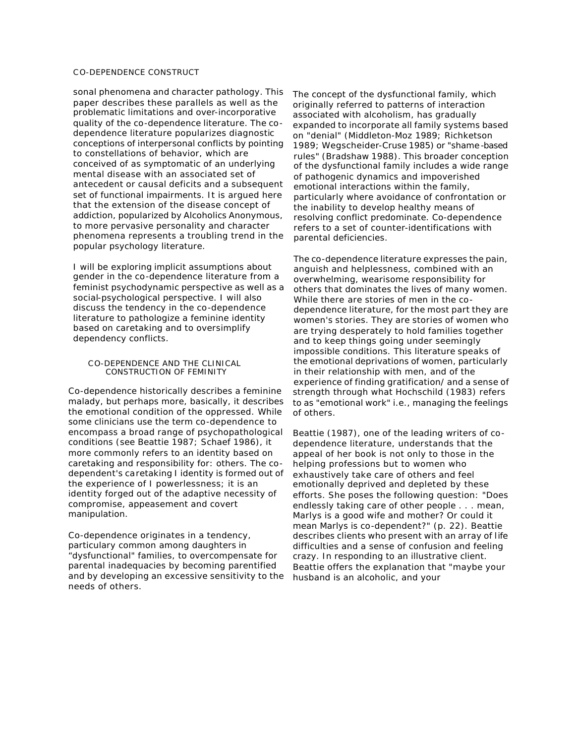sonal phenomena and character pathology. This paper describes these parallels as well as the problematic limitations and over-incorporative quality of the co-dependence literature. The codependence literature popularizes diagnostic conceptions of interpersonal conflicts by pointing to constellations of behavior, which are conceived of as symptomatic of an underlying mental disease with an associated set of antecedent or causal deficits and a subsequent set of functional impairments. It is argued here that the extension of the disease concept of addiction, popularized by Alcoholics Anonymous, to more pervasive personality and character phenomena represents a troubling trend in the popular psychology literature.

I will be exploring implicit assumptions about gender in the co-dependence literature from a feminist psychodynamic perspective as well as a social-psychological perspective. I will also discuss the tendency in the co-dependence literature to pathologize a feminine identity based on caretaking and to oversimplify dependency conflicts.

#### CO-DEPENDENCE AND THE CLINICAL CONSTRUCTION OF FEMINITY

Co-dependence historically describes a feminine malady, but perhaps more, basically, it describes the emotional condition of the oppressed. While some clinicians use the term co-dependence to encompass a broad range of psychopathological conditions (see Beattie 1987; Schaef 1986), it more commonly refers to an identity based on caretaking and responsibility for: others. The codependent's caretaking I identity is formed out of the experience of I powerlessness; it is an identity forged out of the adaptive necessity of compromise, appeasement and covert manipulation.

Co-dependence originates in a tendency, particulary common among daughters in "dysfunctional" families, to overcompensate for parental inadequacies by becoming parentified and by developing an excessive sensitivity to the needs of others.

The concept of the dysfunctional family, which originally referred to patterns of interaction associated with alcoholism, has gradually expanded to incorporate all family systems based on "denial" (Middleton-Moz 1989; Richketson 1989; Wegscheider-Cruse 1985) or "shame -based rules" (Bradshaw 1988). This broader conception of the dysfunctional family includes a wide range of pathogenic dynamics and impoverished emotional interactions within the family, particularly where avoidance of confrontation or the inability to develop healthy means of resolving conflict predominate. Co-dependence refers to a set of counter-identifications with parental deficiencies.

The co-dependence literature expresses the pain, anguish and helplessness, combined with an overwhelming, wearisome responsibility for others that dominates the lives of many women. While there are stories of men in the codependence literature, for the most part they are women's stories. They are stories of women who are trying desperately to hold families together and to keep things going under seemingly impossible conditions. This literature speaks of the emotional deprivations of women, particularly in their relationship with men, and of the experience of finding gratification/ and a sense of strength through what Hochschild (1983) refers to as "emotional work" i.e., managing the feelings of others.

Beattie (1987), one of the leading writers of codependence literature, understands that the appeal of her book is not only to those in the helping professions but to women who exhaustively take care of others and feel emotionally deprived and depleted by these efforts. She poses the following question: "Does endlessly taking care of other people . . . mean, Marlys is a good wife and mother? Or could it mean Marlys is co-dependent?" (p. 22). Beattie describes clients who present with an array of life difficulties and a sense of confusion and feeling crazy. In responding to an illustrative client. Beattie offers the explanation that "maybe your husband is an alcoholic, and your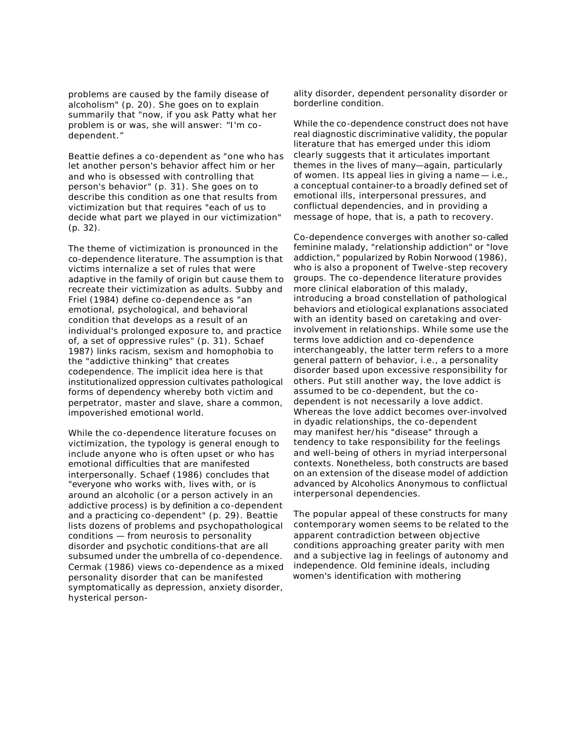problems are caused by the family disease of alcoholism" (p. 20). She goes on to explain summarily that "now, if you ask Patty what her problem is or was, she will answer: "I'm codependent."

Beattie defines a co-dependent as "one who has let another person's behavior affect him or her and who is obsessed with controlling that person's behavior" (p. 31). She goes on to describe this condition as one that results from victimization but that requires "each of us to decide what part we played in our victimization" (p. 32).

The theme of victimization is pronounced in the co-dependence literature. The assumption is that victims internalize a set of rules that were adaptive in the family of origin but cause them to recreate their victimization as adults. Subby and Friel (1984) define co-dependence as "an emotional, psychological, and behavioral condition that develops as a result of an individual's prolonged exposure to, and practice of, a set of oppressive rules" (p. 31). Schaef 1987) links racism, sexism and homophobia to the "addictive thinking" that creates codependence. The implicit idea here is that institutionalized oppression cultivates pathological forms of dependency whereby both victim and perpetrator, master and slave, share a common, impoverished emotional world.

While the co-dependence literature focuses on victimization, the typology is general enough to include anyone who is often upset or who has emotional difficulties that are manifested interpersonally. Schaef (1986) concludes that *"everyone* who works with, lives with, or is around an alcoholic (or a person actively in an addictive process) is by *definition* a co-dependent and a practicing co-dependent" (p. 29). Beattie lists dozens of problems and psychopathological conditions — from neurosis to personality disorder and psychotic conditions-that are all subsumed under the umbrella of co-dependence. Cermak (1986) views co-dependence as a mixed personality disorder that can be manifested symptomatically as depression, anxiety disorder, hysterical personality disorder, dependent personality disorder or borderline condition.

While the co-dependence construct does not have real diagnostic discriminative validity, the popular literature that has emerged under this idiom clearly suggests that it articulates important themes in the lives of many—again, particularly of women. Its appeal lies in giving a name — i.e., a conceptual container-to a broadly defined set of emotional ills, interpersonal pressures, and conflictual dependencies, and in providing a message of hope, that is, a path to recovery.

Co-dependence converges with another so-called feminine malady, "relationship addiction" or "love addiction," popularized by Robin Norwood (1986), who is also a proponent of Twelve-step recovery groups. The co-dependence literature provides more clinical elaboration of this malady, introducing a broad constellation of pathological behaviors and etiological explanations associated with an identity based on caretaking and overinvolvement in relationships. While some use the terms love addiction and co-dependence interchangeably, the latter term refers to a more general pattern of behavior, i.e., a personality disorder based upon excessive responsibility for others. Put still another way, the love addict is assumed to be co-dependent, but the codependent is not necessarily a love addict. Whereas the love addict becomes over-involved in dyadic relationships, the co-dependent may manifest her/his "disease" through a tendency to take responsibility for the feelings and well-being of others in myriad interpersonal contexts. Nonetheless, both constructs are based on an extension of the disease model of addiction advanced by Alcoholics Anonymous to conflictual interpersonal dependencies.

The popular appeal of these constructs for many contemporary women seems to be related to the apparent contradiction between objective conditions approaching greater parity with men and a subjective lag in feelings of autonomy and independence. Old feminine ideals, including women's identification with mothering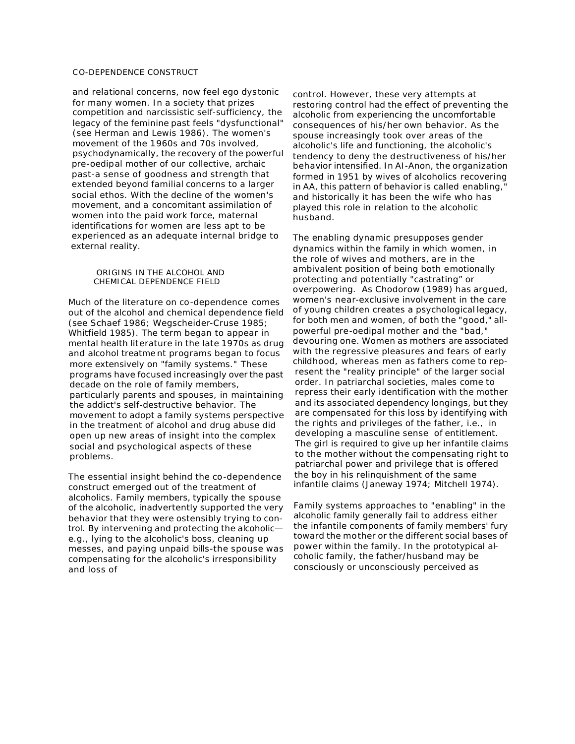and relational concerns, now feel ego dystonic for many women. In a society that prizes competition and narcissistic self-sufficiency, the legacy of the feminine past feels "dysfunctional" (see Herman and Lewis 1986). The women's movement of the 1960s and 70s involved, psychodynamically, the recovery of the powerful pre-oedipal mother of our collective, archaic past-a sense of goodness and strength that extended beyond familial concerns to a larger social ethos. With the decline of the women's movement, and a concomitant assimilation of women into the paid work force, maternal identifications for women are less apt to be experienced as an adequate internal bridge to external reality.

### ORIGINS IN THE ALCOHOL AND CHEMICAL DEPENDENCE FIELD

Much of the literature on co-dependence comes out of the alcohol and chemical dependence field (see Schaef 1986; Wegscheider-Cruse 1985; Whitfield 1985). The term began to appear in mental health literature in the late 1970s as drug and alcohol treatme nt programs began to focus more extensively on "family systems." These programs have focused increasingly over the past decade on the role of family members, particularly parents and spouses, in maintaining the addict's self-destructive behavior. The movement to adopt a family systems perspective in the treatment of alcohol and drug abuse did open up new areas of insight into the complex social and psychological aspects of these problems.

The essential insight behind the co-dependence construct emerged out of the treatment of alcoholics. Family members, typically the spouse of the alcoholic, inadvertently supported the very behavior that they were ostensibly trying to control. By intervening and protecting the alcoholic e.g., lying to the alcoholic's boss, cleaning up messes, and paying unpaid bills-the spouse was compensating for the alcoholic's irresponsibility and loss of

control. However, these very attempts at restoring control had the effect of preventing the alcoholic from experiencing the uncomfortable consequences of his/her own behavior. As the spouse increasingly took over areas of the alcoholic's life and functioning, the alcoholic's tendency to deny the destructiveness of his/her behavior intensified. In AI-Anon, the organization formed in 1951 by wives of alcoholics recovering in AA, this pattern of behavior is called enabling," and historically it has been the wife who has played this role in relation to the alcoholic husband.

The enabling dynamic presupposes gender dynamics within the family in which women, in the role of wives and mothers, are in the ambivalent position of being both emotionally protecting and potentially "castrating" or overpowering. As Chodorow (1989) has argued, women's near-exclusive involvement in the care of young children creates a psychological legacy, for both men and women, of both the "good," allpowerful pre-oedipal mother and the "bad," devouring one. Women as mothers are associated with the regressive pleasures and fears of early childhood, whereas men as fathers come to represent the "reality principle" of the larger social order. In patriarchal societies, males come to repress their early identification with the mother and its associated dependency longings, but they are compensated for this loss by identifying with the rights and privileges of the father, i.e., in developing a masculine sense of entitlement. The girl is required to give up her infantile claims to the mother without the compensating right to patriarchal power and privilege that is offered the boy in his relinquishment of the same infantile claims (Janeway 1974; Mitchell 1974).

Family systems approaches to "enabling" in the alcoholic family generally fail to address either the infantile components of family members' fury toward the mother or the different social bases of power within the family. In the prototypical alcoholic family, the father/husband may be consciously or unconsciously perceived as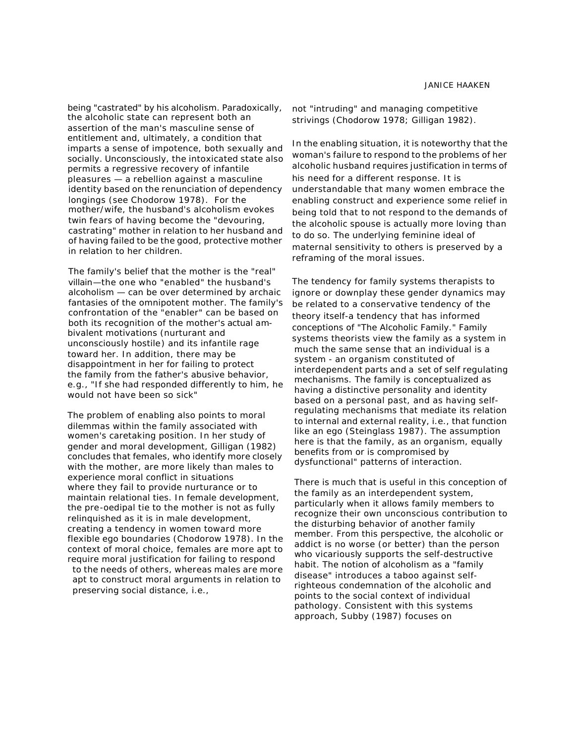being "castrated" by his alcoholism. Paradoxically, the alcoholic state can represent both an assertion of the man's masculine sense of entitlement and, ultimately, a condition that imparts a sense of impotence, both sexually and socially. Unconsciously, the intoxicated state also permits a regressive recovery of infantile pleasures — a rebellion against a masculine identity based on the renunciation of dependency longings (see Chodorow 1978). For the mother/wife, the husband's alcoholism evokes twin fears of having become the "devouring, castrating" mother in relation to her husband and of having failed to be the good, protective mother in relation to her children.

The family's belief that the mother is the "real" villain—the one who "enabled" the husband's alcoholism — can be over determined by archaic fantasies of the omnipotent mother. The family's confrontation of the "enabler" can be based on both its recognition of the mother's *actual* ambivalent motivations (nurturant and unconsciously hostile) and its infantile rage toward her. In addition, there may be disappointment in her for failing to protect the family from the father's abusive behavior, e.g., "If she had responded differently to him, he would not have been so sick"

The problem of enabling also points to moral dilemmas within the family associated with women's caretaking position. In her study of gender and moral development, Gilligan (1982) concludes that females, who identify more closely with the mother, are more likely than males to experience moral conflict in situations where they fail to provide nurturance or to maintain relational ties. In female development, the pre-oedipal tie to the mother is not as fully relinquished as it is in male development, creating a tendency in women toward more flexible ego boundaries (Chodorow 1978). In the context of moral choice, females are more apt to require moral justification for failing to respond

to the needs of others, whereas males are more apt to construct moral arguments in relation to preserving social distance, i.e.,

not "intruding" and managing competitive strivings (Chodorow 1978; Gilligan 1982).

In the enabling situation, it is noteworthy that the woman's failure to respond to the problems of her alcoholic husband requires justification in terms of *his* need for a different response. It is understandable that many women embrace the enabling construct and experience some relief in being told that to *not* respond to the demands of the alcoholic spouse is actually more loving than to do so. The underlying feminine ideal of maternal sensitivity to others is preserved by a reframing of the moral issues.

The tendency for family systems therapists to ignore or downplay these gender dynamics may be related to a conservative tendency of the theory itself-a tendency that has informed conceptions of "The Alcoholic Family." Family systems theorists view the family as a system in much the same sense that an individual is a system - an organism constituted of interdependent parts and a set of self regulating mechanisms. The family is conceptualized as having a distinctive personality and identity based on a personal past, and as having selfregulating mechanisms that mediate its relation to internal and external reality, i.e., that function like an ego (Steinglass 1987). The assumption here is that the family, as an organism, equally benefits from or is compromised by dysfunctional" patterns of interaction.

There is much that is useful in this conception of the family as an interdependent system, particularly when it allows family members to recognize their own unconscious contribution to the disturbing behavior of another family member. From this perspective, the alcoholic or addict is no worse (or better) than the person who vicariously supports the self-destructive habit. The notion of alcoholism as a "family disease" introduces a taboo against selfrighteous condemnation of the alcoholic and points to the social context of individual pathology. Consistent with this systems approach, Subby (1987) focuses on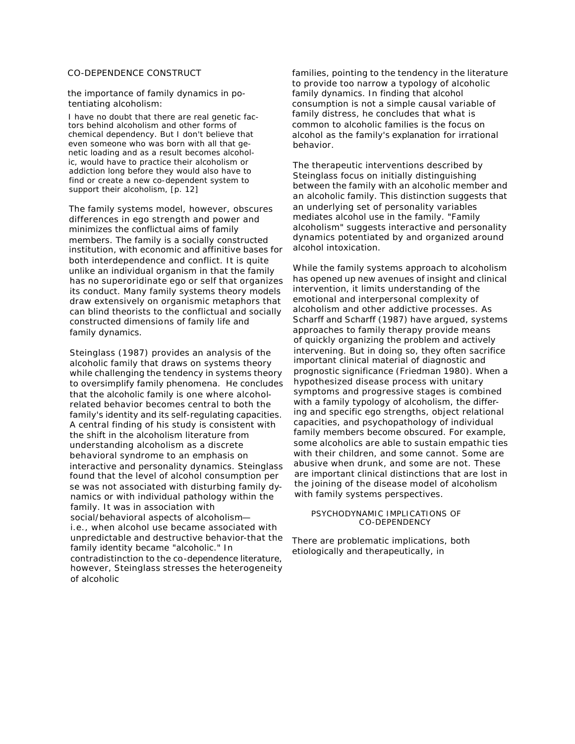the importance of family dynamics in potentiating alcoholism:

I have no doubt that there are real genetic factors behind alcoholism and other forms of chemical dependency. But I don't believe that even someone who was born with all that genetic loading and as a result becomes alcoholic, would have to practice their alcoholism or addiction long before they would also have to find or create a new co-dependent system to support their alcoholism, [p. 12]

The family systems model, however, obscures differences in ego strength and power and minimizes the conflictual aims of family members. The family is a socially constructed institution, with economic and affinitive bases for both interdependence and conflict. It is quite unlike an individual organism in that the family has no superoridinate ego or self that organizes its conduct. Many family systems theory models draw extensively on organismic metaphors that can blind theorists to the conflictual and socially constructed dimensions of family life and family dynamics.

Steinglass (1987) provides an analysis of the alcoholic family that draws on systems theory while challenging the tendency in systems theory to oversimplify family phenomena. He concludes that the alcoholic family is one where alcoholrelated behavior becomes central to both the family's identity and its self-regulating capacities. A central finding of his study is consistent with the shift in the alcoholism literature from understanding alcoholism as a discrete behavioral syndrome to an emphasis on interactive and personality dynamics. Steinglass found that the level of alcohol consumption per se was not associated with disturbing family dynamics or with individual pathology within the family. It was in association with social/behavioral aspects of alcoholism i.e., when alcohol use became associated with unpredictable and destructive behavior-that the family identity became "alcoholic." In contradistinction to the co-dependence literature, however, Steinglass stresses the heterogeneity of alcoholic

families, pointing to the tendency in the literature to provide too narrow a typology of alcoholic family dynamics. In finding that alcohol consumption is not a simple causal variable of family distress, he concludes that what is common to alcoholic families is the focus on alcohol as the family's *explanation* for irrational behavior.

The therapeutic interventions described by Steinglass focus on initially distinguishing between the family with an alcoholic member and an alcoholic family. This distinction suggests that an underlying set of personality variables mediates alcohol use in the family. "Family alcoholism" suggests interactive and personality dynamics potentiated by and organized around alcohol intoxication.

While the family systems approach to alcoholism has opened up new avenues of insight and clinical intervention, it limits understanding of the emotional and interpersonal complexity of alcoholism and other addictive processes. As Scharff and Scharff (1987) have argued, systems approaches to family therapy provide means of quickly organizing the problem and actively intervening. But in doing so, they often sacrifice important clinical material of diagnostic and prognostic significance (Friedman 1980). When a hypothesized disease process with unitary symptoms and progressive stages is combined with a family typology of alcoholism, the differing and specific ego strengths, object relational capacities, and psychopathology of individual family members become obscured. For example, some alcoholics are able to sustain empathic ties with their children, and some cannot. Some are abusive when drunk, and some are not. These are important clinical distinctions that are lost in the joining of the disease model of alcoholism with family systems perspectives.

#### PSYCHODYNAMIC IMPLICATIONS OF CO-DEPENDENCY

There are problematic implications, both etiologically and therapeutically, in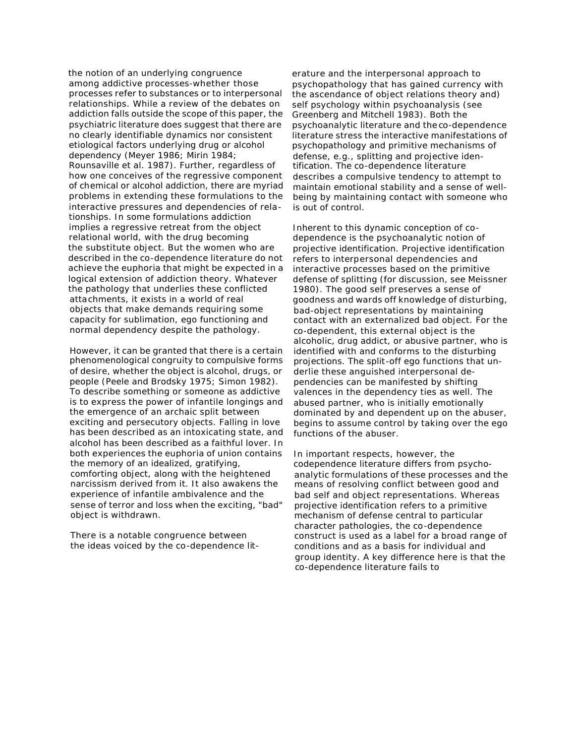the notion of an underlying congruence among addictive processes-whether those processes refer to substances or to interpersonal relationships. While a review of the debates on addiction falls outside the scope of this paper, the psychiatric literature does suggest that there are no clearly identifiable dynamics nor consistent etiological factors underlying drug or alcohol dependency (Meyer 1986; Mirin 1984; Rounsaville et al. 1987). Further, regardless of how one conceives of the regressive component of chemical or alcohol addiction, there are myriad problems in extending these formulations to the interactive pressures and dependencies of relationships. In some formulations addiction implies a regressive retreat from the object relational world, with the drug becoming the substitute object. But the women who are described in the co-dependence literature do not achieve the euphoria that might be expected in a logical extension of addiction theory. Whatever the pathology that underlies these conflicted attachments, it exists in a world of real objects that make demands requiring some capacity for sublimation, ego functioning and normal dependency despite the pathology.

However, it can be granted that there is a certain phenomenological congruity to compulsive forms of desire, whether the object is alcohol, drugs, or people (Peele and Brodsky 1975; Simon 1982). To describe something or someone as addictive is to express the power of infantile longings and the emergence of an archaic split between exciting and persecutory objects. Falling in love has been described as an intoxicating state, and alcohol has been described as a faithful lover. In both experiences the euphoria of union contains the memory of an idealized, gratifying, comforting object, along with the heightened narcissism derived from it. It also awakens the experience of infantile ambivalence and the sense of terror and loss when the exciting, "bad" object is withdrawn.

There is a notable congruence between the ideas voiced by the co-dependence lit-

erature and the interpersonal approach to psychopathology that has gained currency with the ascendance of object relations theory and) self psychology within psychoanalysis (see Greenberg and Mitchell 1983). Both the psychoanalytic literature and the co-dependence literature stress the interactive manifestations of psychopathology and primitive mechanisms of defense, e.g., splitting and projective identification. The co-dependence literature describes a compulsive tendency to attempt to maintain emotional stability and a sense of wellbeing by maintaining contact with someone who is out of control.

Inherent to this dynamic conception of codependence is the psychoanalytic notion of projective identification. Projective identification refers to interpersonal dependencies and interactive processes based on the primitive defense of splitting (for discussion, see Meissner 1980). The good self preserves a sense of goodness and wards off knowledge of disturbing, bad-object representations by maintaining contact with an externalized bad object. For the co-dependent, this external object is the alcoholic, drug addict, or abusive partner, who is identified with and conforms to the disturbing projections. The split-off ego functions that underlie these anguished interpersonal dependencies can be manifested by shifting valences in the dependency ties as well. The abused partner, who is initially emotionally dominated by and dependent up on the abuser, begins to assume control by taking over the ego functions of the abuser.

In important respects, however, the codependence literature differs from psychoanalytic formulations of these processes and the means of resolving conflict between good and bad self and object representations. Whereas projective identification refers to a primitive mechanism of defense central to particular character pathologies, the co-dependence construct is used as a label for a broad range of conditions and as a basis for individual and group identity. A key difference here is that the co-dependence literature fails to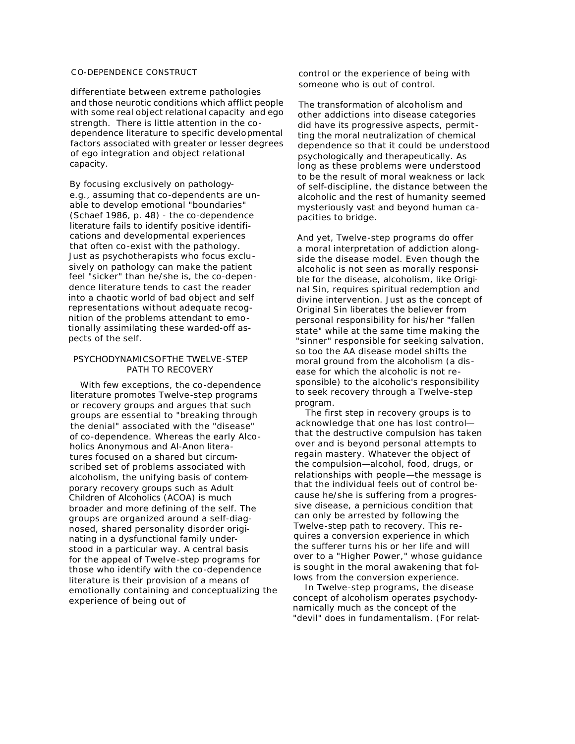differentiate between extreme pathologies and those neurotic conditions which afflict people with some real object relational capacity and ego strength. There is little attention in the codependence literature to specific developmental factors associated with greater or lesser degrees of ego integration and object relational capacity.

By focusing exclusively on pathologye.g., assuming that co-dependents are unable to develop emotional "boundaries" (Schaef 1986, p. 48) - the co-dependence literature fails to identify positive identifications and developmental experiences that often co-exist with the pathology. Just as psychotherapists who focus exclusively on pathology can make the patient feel "sicker" than he/she is, the co-dependence literature tends to cast the reader into a chaotic world of bad object and self representations without adequate recognition of the problems attendant to emotionally assimilating these warded-off aspects of the self.

## PSYCHODYNAMICSOFTHE TWELVE-STEP PATH TO RECOVERY

With few exceptions, the co-dependence literature promotes Twelve-step programs or recovery groups and argues that such groups are essential to "breaking through the denial" associated with the "disease" of co-dependence. Whereas the early Alcoholics Anonymous and Al-Anon literatures focused on a shared but circumscribed set of problems associated with alcoholism, the unifying basis of contemporary recovery groups such as Adult Children of Alcoholics (ACOA) is much broader and more defining of the self. The groups are organized around a self-diagnosed, shared personality disorder originating in a dysfunctional family understood in a particular way. A central basis for the appeal of Twelve-step programs for those who identify with the co-dependence literature is their provision of a means of emotionally containing and conceptualizing the experience of being out of

control or the experience of being with someone who is out of control.

The transformation of alcoholism and other addictions into disease categories did have its progressive aspects, permitting the moral neutralization of chemical dependence so that it could be understood psychologically and therapeutically. As long as these problems were understood to be the result of moral weakness or lack of self-discipline, the distance between the alcoholic and the rest of humanity seemed mysteriously vast and beyond human capacities to bridge.

And yet, Twelve-step programs do offer a moral interpretation of addiction alongside the disease model. Even though the alcoholic is not seen as morally responsible for the disease, alcoholism, like Original Sin, requires spiritual redemption and divine intervention. Just as the concept of Original Sin liberates the believer from personal responsibility for his/her "fallen state" while at the same time making the "sinner" responsible for seeking salvation, so too the AA disease model shifts the moral ground from the alcoholism (a disease for which the alcoholic is not responsible) to the alcoholic's responsibility to seek recovery through a Twelve-step program.

The first step in recovery groups is to acknowledge that one has lost control that the destructive compulsion has taken over and is beyond personal attempts to regain mastery. Whatever the object of the compulsion—alcohol, food, drugs, or relationships with people—the message is that the individual feels out of control because he/she is suffering from a progressive disease, a pernicious condition that can only be arrested by following the Twelve-step path to recovery. This requires a conversion experience in which the sufferer turns his or her life and will over to a "Higher Power," whose guidance is sought in the moral awakening that follows from the conversion experience.

In Twelve-step programs, the disease concept of alcoholism operates psychodynamically much as the concept of the "devil" does in fundamentalism. (For relat-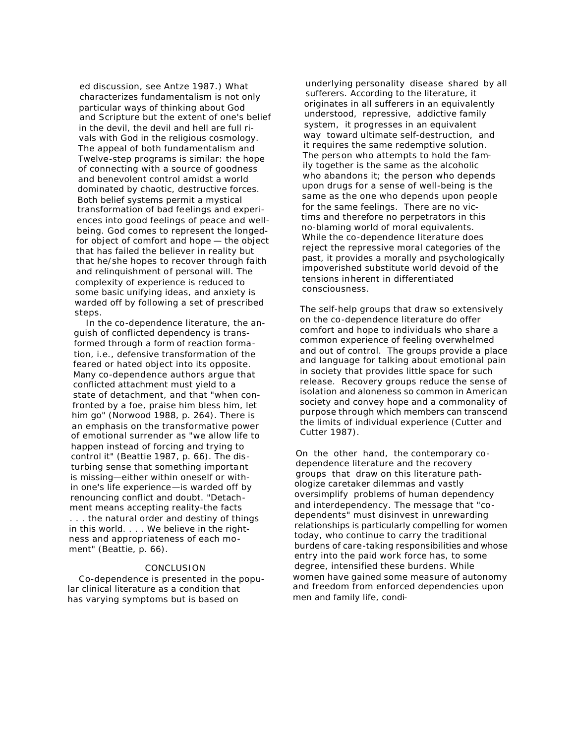ed discussion, see Antze 1987.) What characterizes fundamentalism is not only particular ways of thinking about God and Scripture but the extent of one's belief in the devil, the devil and hell are full rivals with God in the religious cosmology. The appeal of both fundamentalism and Twelve-step programs is similar: the hope of connecting with a source of goodness and benevolent control amidst a world dominated by chaotic, destructive forces. Both belief systems permit a mystical transformation of bad feelings and experiences into good feelings of peace and wellbeing. God comes to represent the longedfor object of comfort and hope — the object that has failed the believer in reality but that he/she hopes to recover through faith and relinquishment of personal will. The complexity of experience is reduced to some basic unifying ideas, and anxiety is warded off by following a set of prescribed steps.

In the co-dependence literature, the anguish of conflicted dependency is transformed through a form of reaction formation, i.e., defensive transformation of the feared or hated object into its opposite. Many co-dependence authors argue that conflicted attachment must yield to a state of detachment, and that "when confronted by a foe, praise him bless him, let him go" (Norwood 1988, p. 264). There is an emphasis on the transformative power of emotional surrender as "we allow life to happen instead of forcing and trying to control it" (Beattie 1987, p. 66). The disturbing sense that something important is missing—either within oneself or within one's life experience—is warded off by renouncing conflict and doubt. "Detachment means accepting reality-the facts . . . the natural order and destiny of things in this world. . . . We believe in the rightness and appropriateness of each moment" (Beattie, p. 66).

## **CONCLUSION**

Co-dependence is presented in the popular clinical literature as a condition that has varying symptoms but is based on

underlying personality disease shared by all sufferers. According to the literature, it originates in all sufferers in an equivalently understood, repressive, addictive family system, it progresses in an equivalent way toward ultimate self-destruction, and it requires the same redemptive solution. The person who attempts to hold the family together is the same as the alcoholic who abandons it; the person who depends upon drugs for a sense of well-being is the same as the one who depends upon people for the same feelings. There are no victims and therefore no perpetrators in this no-blaming world of moral equivalents. While the co-dependence literature does reject the repressive moral categories of the past, it provides a morally and psychologically impoverished substitute world devoid of the tensions inherent in differentiated consciousness.

The self-help groups that draw so extensively on the co-dependence literature do offer comfort and hope to individuals who share a common experience of feeling overwhelmed and out of control. The groups provide a place and language for talking about emotional pain in society that provides little space for such release. Recovery groups reduce the sense of isolation and aloneness so common in American society and convey hope and a commonality of purpose through which members can transcend the limits of individual experience (Cutter and Cutter 1987).

On the other hand, the contemporary codependence literature and the recovery groups that draw on this literature pathologize caretaker dilemmas and vastly oversimplify problems of human dependency and interdependency. The message that "codependents" must disinvest in unrewarding relationships is particularly compelling for women today, who continue to carry the traditional burdens of care-taking responsibilities and whose entry into the paid work force has, to some degree, intensified these burdens. While women have gained some measure of autonomy and freedom from enforced dependencies upon men and family life, condi-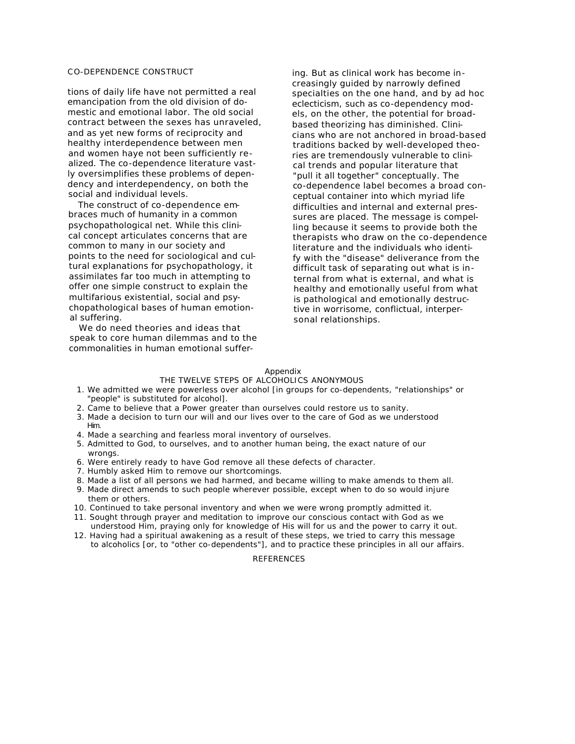tions of daily life have not permitted a real emancipation from the old division of domestic and emotional labor. The old social contract between the sexes has unraveled, and as yet new forms of reciprocity and healthy interdependence between men and women haye not been sufficiently realized. The co-dependence literature vastly oversimplifies these problems of dependency and interdependency, on both the social and individual levels.

The construct of co-dependence embraces much of humanity in a common psychopathological net. While this clinical concept articulates concerns that are common to many in our society and points to the need for sociological and cultural explanations for psychopathology, it assimilates far too much in attempting to offer one simple construct to explain the multifarious existential, social and psychopathological bases of human emotional suffering.

We do need theories and ideas that speak to core human dilemmas and to the commonalities in human emotional suffer-

ing. But as clinical work has become increasingly guided by narrowly defined specialties on the one hand, and by ad hoc eclecticism, such as co-dependency models, on the other, the potential for broadbased theorizing has diminished. Clinicians who are not anchored in broad-based traditions backed by well-developed theories are tremendously vulnerable to clinical trends and popular literature that "pull it all together" conceptually. The co-dependence label becomes a broad conceptual container into which myriad life difficulties and internal and external pressures are placed. The message is compelling because it seems to provide both the therapists who draw on the co-dependence literature and the individuals who identify with the "disease" deliverance from the difficult task of separating out what is internal from what is external, and what is healthy and emotionally useful from what is pathological and emotionally destructive in worrisome, conflictual, interpersonal relationships.

#### Appendix

- THE TWELVE STEPS OF ALCOHOLICS ANONYMOUS
- 1. We admitted we were powerless over alcohol [in groups for co-dependents, "relationships" or "people" is substituted for alcohol].
- 2. Came to believe that a Power greater than ourselves could restore us to sanity.
- 3. Made a decision to turn our will and our lives over to the care of God as we understood Him.
- 4. Made a searching and fearless moral inventory of ourselves.
- 5. Admitted to God, to ourselves, and to another human being, the exact nature of our wrongs.
- 6. Were entirely ready to have God remove all these defects of character.
- 7. Humbly asked Him to remove our shortcomings.
- 8. Made a list of all persons we had harmed, and became willing to make amends to them all.
- 9. Made direct amends to such people wherever possible, except when to do so would injure them or others.
- 10. Continued to take personal inventory and when we were wrong promptly admitted it.
- 11. Sought through prayer and meditation to improve our conscious contact with God as we understood Him, praying only for knowledge of His will for us and the power to carry it out.
- 12. Having had a spiritual awakening as a result of these steps, we tried to carry this message to alcoholics [or, to "other co-dependents"], and to practice these principles in all our affairs.

### **REFERENCES**